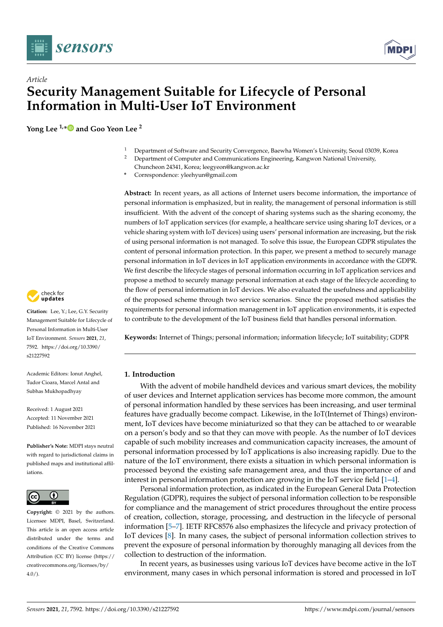



# *Article* **Security Management Suitable for Lifecycle of Personal Information in Multi-User IoT Environment**

**Yong Lee 1,[\\*](https://orcid.org/0000-0002-8208-7335) and Goo Yeon Lee <sup>2</sup>**

- <sup>1</sup> Department of Software and Security Convergence, Baewha Women's University, Seoul 03039, Korea<br><sup>2</sup> Department of Computer and Communications Engineering Kangyon National University
- <sup>2</sup> Department of Computer and Communications Engineering, Kangwon National University,
- Chuncheon 24341, Korea; leegyeon@kangwon.ac.kr
- **\*** Correspondence: yleehyun@gmail.com

**Abstract:** In recent years, as all actions of Internet users become information, the importance of personal information is emphasized, but in reality, the management of personal information is still insufficient. With the advent of the concept of sharing systems such as the sharing economy, the numbers of IoT application services (for example, a healthcare service using sharing IoT devices, or a vehicle sharing system with IoT devices) using users' personal information are increasing, but the risk of using personal information is not managed. To solve this issue, the European GDPR stipulates the content of personal information protection. In this paper, we present a method to securely manage personal information in IoT devices in IoT application environments in accordance with the GDPR. We first describe the lifecycle stages of personal information occurring in IoT application services and propose a method to securely manage personal information at each stage of the lifecycle according to the flow of personal information in IoT devices. We also evaluated the usefulness and applicability of the proposed scheme through two service scenarios. Since the proposed method satisfies the requirements for personal information management in IoT application environments, it is expected to contribute to the development of the IoT business field that handles personal information.

**Keywords:** Internet of Things; personal information; information lifecycle; IoT suitability; GDPR

# **1. Introduction**

With the advent of mobile handheld devices and various smart devices, the mobility of user devices and Internet application services has become more common, the amount of personal information handled by these services has been increasing, and user terminal features have gradually become compact. Likewise, in the IoT(Internet of Things) environment, IoT devices have become miniaturized so that they can be attached to or wearable on a person's body and so that they can move with people. As the number of IoT devices capable of such mobility increases and communication capacity increases, the amount of personal information processed by IoT applications is also increasing rapidly. Due to the nature of the IoT environment, there exists a situation in which personal information is processed beyond the existing safe management area, and thus the importance of and interest in personal information protection are growing in the IoT service field [\[1](#page-18-0)[–4\]](#page-18-1).

Personal information protection, as indicated in the European General Data Protection Regulation (GDPR), requires the subject of personal information collection to be responsible for compliance and the management of strict procedures throughout the entire process of creation, collection, storage, processing, and destruction in the lifecycle of personal information [\[5](#page-18-2)[–7\]](#page-18-3). IETF RFC8576 also emphasizes the lifecycle and privacy protection of IoT devices [\[8\]](#page-18-4). In many cases, the subject of personal information collection strives to prevent the exposure of personal information by thoroughly managing all devices from the collection to destruction of the information.

In recent years, as businesses using various IoT devices have become active in the IoT environment, many cases in which personal information is stored and processed in IoT



**Citation:** Lee, Y.; Lee, G.Y. Security Management Suitable for Lifecycle of Personal Information in Multi-User IoT Environment. *Sensors* **2021**, *21*, 7592. [https://doi.org/10.3390/](https://doi.org/10.3390/s21227592) [s21227592](https://doi.org/10.3390/s21227592)

Academic Editors: Ionut Anghel, Tudor Cioara, Marcel Antal and Subhas Mukhopadhyay

Received: 1 August 2021 Accepted: 11 November 2021 Published: 16 November 2021

**Publisher's Note:** MDPI stays neutral with regard to jurisdictional claims in published maps and institutional affiliations.



**Copyright:** © 2021 by the authors. Licensee MDPI, Basel, Switzerland. This article is an open access article distributed under the terms and conditions of the Creative Commons Attribution (CC BY) license (https:/[/](https://creativecommons.org/licenses/by/4.0/) [creativecommons.org/licenses/by/](https://creativecommons.org/licenses/by/4.0/)  $4.0/$ ).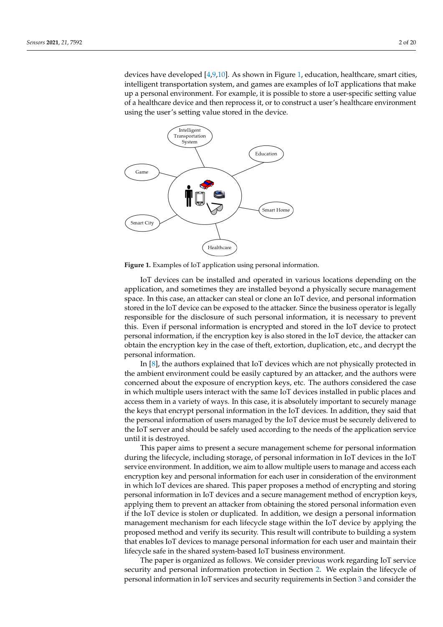devices have developed [\[4](#page-18-1)[,9](#page-18-5)[,10\]](#page-18-6). As shown in Figure [1,](#page-1-0) education, healthcare, smart cities, intelligent transportation system, and games are examples of IoT applications that make up a personal environment. For example, it is possible to store a user-specific setting value of a healthcare device and then reprocess it, or to construct a user's healthcare environment using the user's setting value stored in the device.

<span id="page-1-0"></span>

**Figure 1.** Examples of IoT application using personal information.

IoT devices can be installed and operated in various locations depending on the application, and sometimes they are installed beyond a physically secure management space. In this case, an attacker can steal or clone an IoT device, and personal information stored in the IoT device can be exposed to the attacker. Since the business operator is legally responsible for the disclosure of such personal information, it is necessary to prevent this. Even if personal information is encrypted and stored in the IoT device to protect personal information, if the encryption key is also stored in the IoT device, the attacker can obtain the encryption key in the case of theft, extortion, duplication, etc., and decrypt the personal information.

In [\[8\]](#page-18-4), the authors explained that IoT devices which are not physically protected in the ambient environment could be easily captured by an attacker, and the authors were concerned about the exposure of encryption keys, etc. The authors considered the case in which multiple users interact with the same IoT devices installed in public places and access them in a variety of ways. In this case, it is absolutely important to securely manage the keys that encrypt personal information in the IoT devices. In addition, they said that the personal information of users managed by the IoT device must be securely delivered to the IoT server and should be safely used according to the needs of the application service until it is destroyed.

This paper aims to present a secure management scheme for personal information during the lifecycle, including storage, of personal information in IoT devices in the IoT service environment. In addition, we aim to allow multiple users to manage and access each encryption key and personal information for each user in consideration of the environment in which IoT devices are shared. This paper proposes a method of encrypting and storing personal information in IoT devices and a secure management method of encryption keys, applying them to prevent an attacker from obtaining the stored personal information even if the IoT device is stolen or duplicated. In addition, we design a personal information management mechanism for each lifecycle stage within the IoT device by applying the proposed method and verify its security. This result will contribute to building a system that enables IoT devices to manage personal information for each user and maintain their lifecycle safe in the shared system-based IoT business environment.

The paper is organized as follows. We consider previous work regarding IoT service security and personal information protection in Section [2.](#page-2-0) We explain the lifecycle of personal information in IoT services and security requirements in Section [3](#page-4-0) and consider the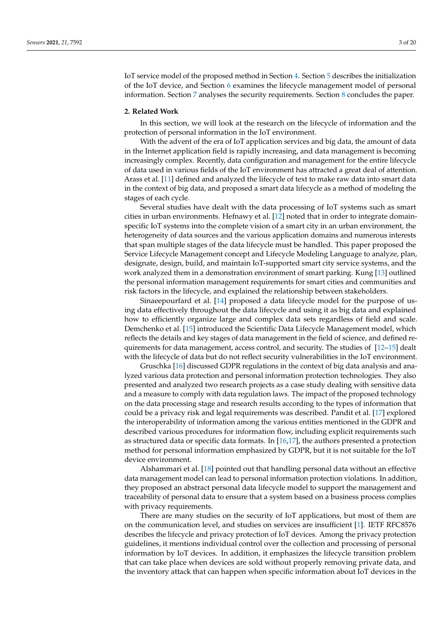IoT service model of the proposed method in Section [4.](#page-6-0) Section [5](#page-8-0) describes the initialization of the IoT device, and Section [6](#page-11-0) examines the lifecycle management model of personal information. Section [7](#page-13-0) analyses the security requirements. Section [8](#page-17-0) concludes the paper.

#### <span id="page-2-0"></span>**2. Related Work**

In this section, we will look at the research on the lifecycle of information and the protection of personal information in the IoT environment.

With the advent of the era of IoT application services and big data, the amount of data in the Internet application field is rapidly increasing, and data management is becoming increasingly complex. Recently, data configuration and management for the entire lifecycle of data used in various fields of the IoT environment has attracted a great deal of attention. Arass et al. [\[11\]](#page-18-7) defined and analyzed the lifecycle of text to make raw data into smart data in the context of big data, and proposed a smart data lifecycle as a method of modeling the stages of each cycle.

Several studies have dealt with the data processing of IoT systems such as smart cities in urban environments. Hefnawy et al. [\[12\]](#page-18-8) noted that in order to integrate domainspecific IoT systems into the complete vision of a smart city in an urban environment, the heterogeneity of data sources and the various application domains and numerous interests that span multiple stages of the data lifecycle must be handled. This paper proposed the Service Lifecycle Management concept and Lifecycle Modeling Language to analyze, plan, designate, design, build, and maintain IoT-supported smart city service systems, and the work analyzed them in a demonstration environment of smart parking. Kung [\[13\]](#page-18-9) outlined the personal information management requirements for smart cities and communities and risk factors in the lifecycle, and explained the relationship between stakeholders.

Sinaeepourfard et al. [\[14\]](#page-18-10) proposed a data lifecycle model for the purpose of using data effectively throughout the data lifecycle and using it as big data and explained how to efficiently organize large and complex data sets regardless of field and scale. Demchenko et al. [\[15\]](#page-18-11) introduced the Scientific Data Lifecycle Management model, which reflects the details and key stages of data management in the field of science, and defined requirements for data management, access control, and security. The studies of [\[12–](#page-18-8)[15\]](#page-18-11) dealt with the lifecycle of data but do not reflect security vulnerabilities in the IoT environment.

Gruschka [\[16\]](#page-18-12) discussed GDPR regulations in the context of big data analysis and analyzed various data protection and personal information protection technologies. They also presented and analyzed two research projects as a case study dealing with sensitive data and a measure to comply with data regulation laws. The impact of the proposed technology on the data processing stage and research results according to the types of information that could be a privacy risk and legal requirements was described. Pandit et al. [\[17\]](#page-18-13) explored the interoperability of information among the various entities mentioned in the GDPR and described various procedures for information flow, including explicit requirements such as structured data or specific data formats. In [\[16,](#page-18-12)[17\]](#page-18-13), the authors presented a protection method for personal information emphasized by GDPR, but it is not suitable for the IoT device environment.

Alshammari et al. [\[18\]](#page-18-14) pointed out that handling personal data without an effective data management model can lead to personal information protection violations. In addition, they proposed an abstract personal data lifecycle model to support the management and traceability of personal data to ensure that a system based on a business process complies with privacy requirements.

There are many studies on the security of IoT applications, but most of them are on the communication level, and studies on services are insufficient [\[1\]](#page-18-0). IETF RFC8576 describes the lifecycle and privacy protection of IoT devices. Among the privacy protection guidelines, it mentions individual control over the collection and processing of personal information by IoT devices. In addition, it emphasizes the lifecycle transition problem that can take place when devices are sold without properly removing private data, and the inventory attack that can happen when specific information about IoT devices in the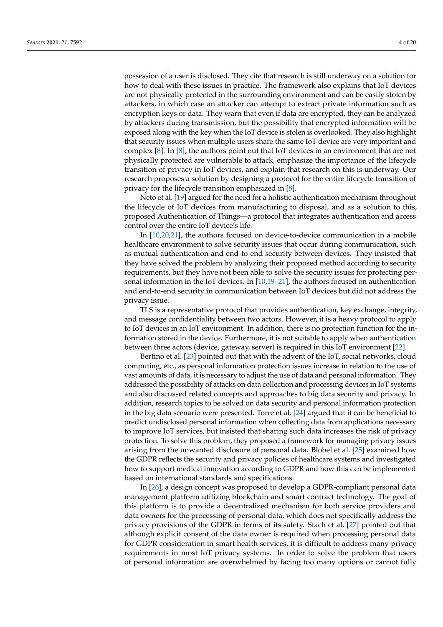possession of a user is disclosed. They cite that research is still underway on a solution for how to deal with these issues in practice. The framework also explains that IoT devices are not physically protected in the surrounding environment and can be easily stolen by attackers, in which case an attacker can attempt to extract private information such as encryption keys or data. They warn that even if data are encrypted, they can be analyzed by attackers during transmission, but the possibility that encrypted information will be exposed along with the key when the IoT device is stolen is overlooked. They also highlight that security issues when multiple users share the same IoT device are very important and complex [\[8\]](#page-18-4). In [\[8\]](#page-18-4), the authors point out that IoT devices in an environment that are not physically protected are vulnerable to attack, emphasize the importance of the lifecycle transition of privacy in IoT devices, and explain that research on this is underway. Our research proposes a solution by designing a protocol for the entire lifecycle transition of privacy for the lifecycle transition emphasized in [\[8\]](#page-18-4).

Neto et al. [\[19\]](#page-18-15) argued for the need for a holistic authentication mechanism throughout the lifecycle of IoT devices from manufacturing to disposal, and as a solution to this, proposed Authentication of Things—a protocol that integrates authentication and access control over the entire IoT device's life.

In [\[10,](#page-18-6)[20,](#page-18-16)[21\]](#page-18-17), the authors focused on device-to-device communication in a mobile healthcare environment to solve security issues that occur during communication, such as mutual authentication and end-to-end security between devices. They insisted that they have solved the problem by analyzing their proposed method according to security requirements, but they have not been able to solve the security issues for protecting personal information in the IoT devices. In [\[10,](#page-18-6)[19](#page-18-15)[–21\]](#page-18-17), the authors focused on authentication and end-to-end security in communication between IoT devices but did not address the privacy issue.

TLS is a representative protocol that provides authentication, key exchange, integrity, and message confidentiality between two actors. However, it is a heavy protocol to apply to IoT devices in an IoT environment. In addition, there is no protection function for the information stored in the device. Furthermore, it is not suitable to apply when authentication between three actors (device, gateway, server) is required in this IoT environment [\[22\]](#page-18-18).

Bertino et al. [\[23\]](#page-18-19) pointed out that with the advent of the IoT, social networks, cloud computing, etc., as personal information protection issues increase in relation to the use of vast amounts of data, it is necessary to adjust the use of data and personal information. They addressed the possibility of attacks on data collection and processing devices in IoT systems and also discussed related concepts and approaches to big data security and privacy. In addition, research topics to be solved on data security and personal information protection in the big data scenario were presented. Torre et al. [\[24\]](#page-18-20) argued that it can be beneficial to predict undisclosed personal information when collecting data from applications necessary to improve IoT services, but insisted that sharing such data increases the risk of privacy protection. To solve this problem, they proposed a framework for managing privacy issues arising from the unwanted disclosure of personal data. Blobel et al. [\[25\]](#page-18-21) examined how the GDPR reflects the security and privacy policies of healthcare systems and investigated how to support medical innovation according to GDPR and how this can be implemented based on international standards and specifications.

In [\[26\]](#page-18-22), a design concept was proposed to develop a GDPR-compliant personal data management platform utilizing blockchain and smart contract technology. The goal of this platform is to provide a decentralized mechanism for both service providers and data owners for the processing of personal data, which does not specifically address the privacy provisions of the GDPR in terms of its safety. Stach et al. [\[27\]](#page-19-0) pointed out that although explicit consent of the data owner is required when processing personal data for GDPR consideration in smart health services, it is difficult to address many privacy requirements in most IoT privacy systems. In order to solve the problem that users of personal information are overwhelmed by facing too many options or cannot fully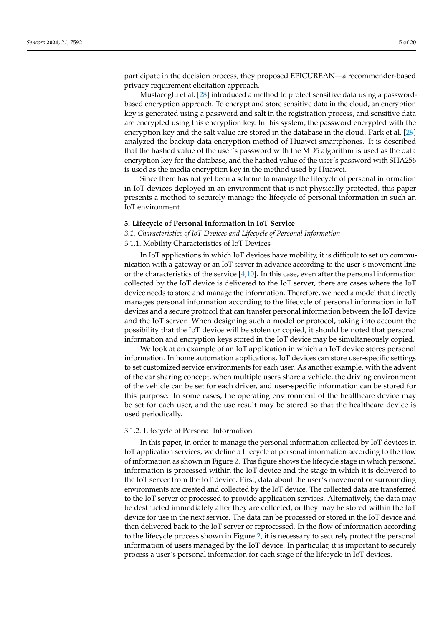participate in the decision process, they proposed EPICUREAN—a recommender-based privacy requirement elicitation approach.

Mustacoglu et al. [\[28\]](#page-19-1) introduced a method to protect sensitive data using a passwordbased encryption approach. To encrypt and store sensitive data in the cloud, an encryption key is generated using a password and salt in the registration process, and sensitive data are encrypted using this encryption key. In this system, the password encrypted with the encryption key and the salt value are stored in the database in the cloud. Park et al. [\[29\]](#page-19-2) analyzed the backup data encryption method of Huawei smartphones. It is described that the hashed value of the user's password with the MD5 algorithm is used as the data encryption key for the database, and the hashed value of the user's password with SHA256 is used as the media encryption key in the method used by Huawei.

Since there has not yet been a scheme to manage the lifecycle of personal information in IoT devices deployed in an environment that is not physically protected, this paper presents a method to securely manage the lifecycle of personal information in such an IoT environment.

# <span id="page-4-0"></span>**3. Lifecycle of Personal Information in IoT Service**

# *3.1. Characteristics of IoT Devices and Lifecycle of Personal Information*

# 3.1.1. Mobility Characteristics of IoT Devices

In IoT applications in which IoT devices have mobility, it is difficult to set up communication with a gateway or an IoT server in advance according to the user's movement line or the characteristics of the service  $[4,10]$  $[4,10]$ . In this case, even after the personal information collected by the IoT device is delivered to the IoT server, there are cases where the IoT device needs to store and manage the information. Therefore, we need a model that directly manages personal information according to the lifecycle of personal information in IoT devices and a secure protocol that can transfer personal information between the IoT device and the IoT server. When designing such a model or protocol, taking into account the possibility that the IoT device will be stolen or copied, it should be noted that personal information and encryption keys stored in the IoT device may be simultaneously copied.

We look at an example of an IoT application in which an IoT device stores personal information. In home automation applications, IoT devices can store user-specific settings to set customized service environments for each user. As another example, with the advent of the car sharing concept, when multiple users share a vehicle, the driving environment of the vehicle can be set for each driver, and user-specific information can be stored for this purpose. In some cases, the operating environment of the healthcare device may be set for each user, and the use result may be stored so that the healthcare device is used periodically.

#### 3.1.2. Lifecycle of Personal Information

In this paper, in order to manage the personal information collected by IoT devices in IoT application services, we define a lifecycle of personal information according to the flow of information as shown in Figure [2.](#page-5-0) This figure shows the lifecycle stage in which personal information is processed within the IoT device and the stage in which it is delivered to the IoT server from the IoT device. First, data about the user's movement or surrounding environments are created and collected by the IoT device. The collected data are transferred to the IoT server or processed to provide application services. Alternatively, the data may be destructed immediately after they are collected, or they may be stored within the IoT device for use in the next service. The data can be processed or stored in the IoT device and then delivered back to the IoT server or reprocessed. In the flow of information according to the lifecycle process shown in Figure [2,](#page-5-0) it is necessary to securely protect the personal information of users managed by the IoT device. In particular, it is important to securely process a user's personal information for each stage of the lifecycle in IoT devices.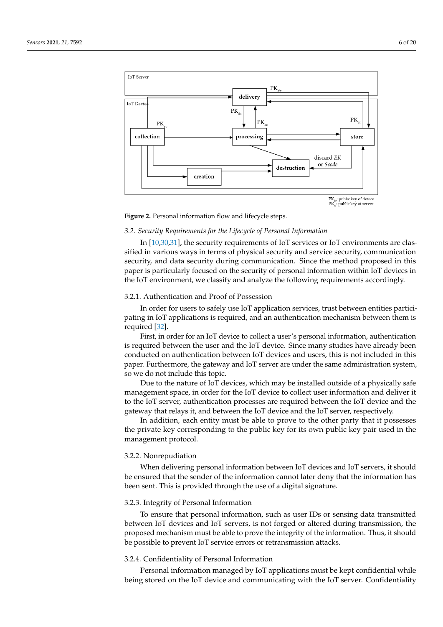<span id="page-5-0"></span>

**Figure 2.** Personal information flow and lifecycle steps.

# *3.2. Security Requirements for the Lifecycle of Personal Information*

In [\[10,](#page-18-6)[30,](#page-19-3)[31\]](#page-19-4), the security requirements of IoT services or IoT environments are classified in various ways in terms of physical security and service security, communication security, and data security during communication. Since the method proposed in this paper is particularly focused on the security of personal information within IoT devices in the IoT environment, we classify and analyze the following requirements accordingly.

### 3.2.1. Authentication and Proof of Possession

In order for users to safely use IoT application services, trust between entities participating in IoT applications is required, and an authentication mechanism between them is required [\[32\]](#page-19-5).

First, in order for an IoT device to collect a user's personal information, authentication is required between the user and the IoT device. Since many studies have already been conducted on authentication between IoT devices and users, this is not included in this paper. Furthermore, the gateway and IoT server are under the same administration system, so we do not include this topic.

Due to the nature of IoT devices, which may be installed outside of a physically safe management space, in order for the IoT device to collect user information and deliver it to the IoT server, authentication processes are required between the IoT device and the gateway that relays it, and between the IoT device and the IoT server, respectively.

In addition, each entity must be able to prove to the other party that it possesses the private key corresponding to the public key for its own public key pair used in the management protocol.

#### 3.2.2. Nonrepudiation

When delivering personal information between IoT devices and IoT servers, it should be ensured that the sender of the information cannot later deny that the information has been sent. This is provided through the use of a digital signature.

#### 3.2.3. Integrity of Personal Information

To ensure that personal information, such as user IDs or sensing data transmitted between IoT devices and IoT servers, is not forged or altered during transmission, the proposed mechanism must be able to prove the integrity of the information. Thus, it should be possible to prevent IoT service errors or retransmission attacks.

# 3.2.4. Confidentiality of Personal Information

Personal information managed by IoT applications must be kept confidential while being stored on the IoT device and communicating with the IoT server. Confidentiality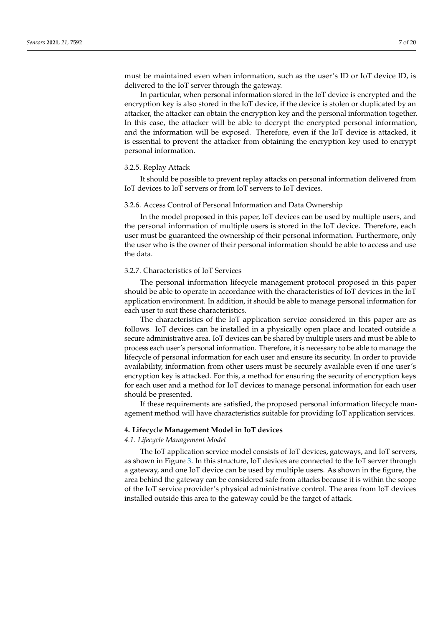must be maintained even when information, such as the user's ID or IoT device ID, is delivered to the IoT server through the gateway.

In particular, when personal information stored in the IoT device is encrypted and the encryption key is also stored in the IoT device, if the device is stolen or duplicated by an attacker, the attacker can obtain the encryption key and the personal information together. In this case, the attacker will be able to decrypt the encrypted personal information, and the information will be exposed. Therefore, even if the IoT device is attacked, it is essential to prevent the attacker from obtaining the encryption key used to encrypt personal information.

#### 3.2.5. Replay Attack

It should be possible to prevent replay attacks on personal information delivered from IoT devices to IoT servers or from IoT servers to IoT devices.

#### 3.2.6. Access Control of Personal Information and Data Ownership

In the model proposed in this paper, IoT devices can be used by multiple users, and the personal information of multiple users is stored in the IoT device. Therefore, each user must be guaranteed the ownership of their personal information. Furthermore, only the user who is the owner of their personal information should be able to access and use the data.

#### 3.2.7. Characteristics of IoT Services

The personal information lifecycle management protocol proposed in this paper should be able to operate in accordance with the characteristics of IoT devices in the IoT application environment. In addition, it should be able to manage personal information for each user to suit these characteristics.

The characteristics of the IoT application service considered in this paper are as follows. IoT devices can be installed in a physically open place and located outside a secure administrative area. IoT devices can be shared by multiple users and must be able to process each user's personal information. Therefore, it is necessary to be able to manage the lifecycle of personal information for each user and ensure its security. In order to provide availability, information from other users must be securely available even if one user's encryption key is attacked. For this, a method for ensuring the security of encryption keys for each user and a method for IoT devices to manage personal information for each user should be presented.

If these requirements are satisfied, the proposed personal information lifecycle management method will have characteristics suitable for providing IoT application services.

# <span id="page-6-0"></span>**4. Lifecycle Management Model in IoT devices**

#### *4.1. Lifecycle Management Model*

The IoT application service model consists of IoT devices, gateways, and IoT servers, as shown in Figure [3.](#page-7-0) In this structure, IoT devices are connected to the IoT server through a gateway, and one IoT device can be used by multiple users. As shown in the figure, the area behind the gateway can be considered safe from attacks because it is within the scope of the IoT service provider's physical administrative control. The area from IoT devices installed outside this area to the gateway could be the target of attack.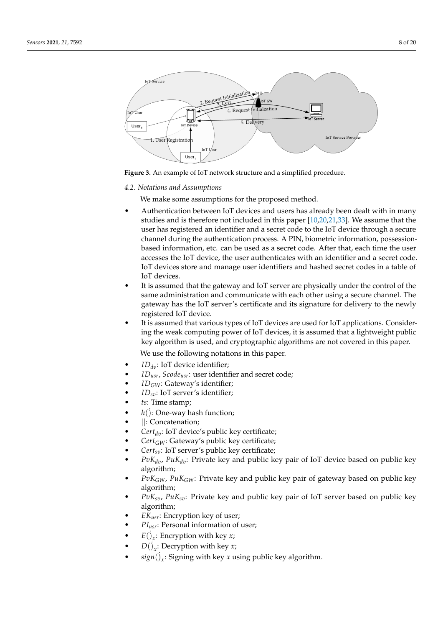<span id="page-7-0"></span>

**Figure 3.** An example of IoT network structure and a simplified procedure.

#### *4.2. Notations and Assumptions*

We make some assumptions for the proposed method.

- Authentication between IoT devices and users has already been dealt with in many studies and is therefore not included in this paper [\[10,](#page-18-6)[20,](#page-18-16)[21,](#page-18-17)[33\]](#page-19-6). We assume that the user has registered an identifier and a secret code to the IoT device through a secure channel during the authentication process. A PIN, biometric information, possessionbased information, etc. can be used as a secret code. After that, each time the user accesses the IoT device, the user authenticates with an identifier and a secret code. IoT devices store and manage user identifiers and hashed secret codes in a table of IoT devices.
- It is assumed that the gateway and IoT server are physically under the control of the same administration and communicate with each other using a secure channel. The gateway has the IoT server's certificate and its signature for delivery to the newly registered IoT device.
- It is assumed that various types of IoT devices are used for IoT applications. Considering the weak computing power of IoT devices, it is assumed that a lightweight public key algorithm is used, and cryptographic algorithms are not covered in this paper.

We use the following notations in this paper.

- *ID<sub>dv</sub>*: IoT device identifier;
- *IDusr*, *Scodeusr*: user identifier and secret code;
- *IDGW*: Gateway's identifier;
- *IDsv*: IoT server's identifier;
- *ts*: Time stamp;
- $h()$ : One-way hash function;
- ||: Concatenation;
- $Cert_{dv}$ : IoT device's public key certificate;
- *CertGW*: Gateway's public key certificate;
- *Certsv*: IoT server's public key certificate;
- *PvKdv*, *PuKdv*: Private key and public key pair of IoT device based on public key algorithm;
- *PvKGW*, *PuKGW*: Private key and public key pair of gateway based on public key algorithm;
- *PvKsv*, *PuKsv*: Private key and public key pair of IoT server based on public key algorithm;
- *EKusr*: Encryption key of user;
- *PIusr*: Personal information of user;
- $E(\iint_{x}$ : Encryption with key *x*;
- $D(j_x:$  Decryption with key *x*;
- *sign*( $j_x$ : Signing with key *x* using public key algorithm.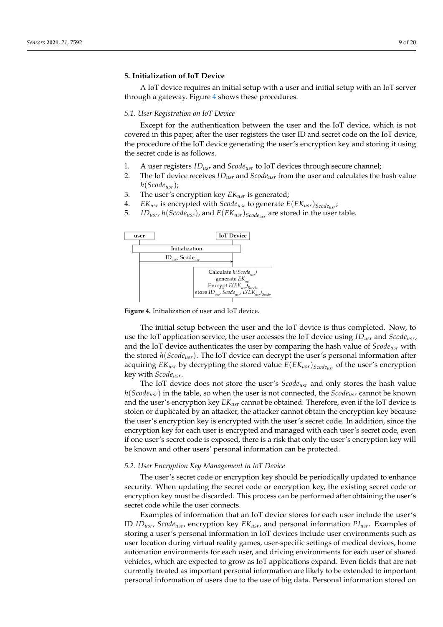# <span id="page-8-0"></span>**5. Initialization of IoT Device**

A IoT device requires an initial setup with a user and initial setup with an IoT server through a gateway. Figure [4](#page-8-1) shows these procedures.

#### *5.1. User Registration on IoT Device*

Except for the authentication between the user and the IoT device, which is not covered in this paper, after the user registers the user ID and secret code on the IoT device, the procedure of the IoT device generating the user's encryption key and storing it using the secret code is as follows.

- 1. A user registers *IDusr* and *Scodeusr* to IoT devices through secure channel;
- 2. The IoT device receives *IDusr* and *Scodeusr* from the user and calculates the hash value *h*(*Scodeusr*);
- 3. The user's encryption key *EKusr* is generated;
- 4. *EKusr* is encrypted with *Scodeusr* to generate *E*(*EKusr*)*Scodeusr* ;
- 5. *IDusr*, *h*(*Scodeusr*), and *E*(*EKusr*)*Scodeusr* are stored in the user table.

<span id="page-8-1"></span>

**Figure 4.** Initialization of user and IoT device.

The initial setup between the user and the IoT device is thus completed. Now, to use the IoT application service, the user accesses the IoT device using *IDusr* and *Scodeusr*, and the IoT device authenticates the user by comparing the hash value of *Scodeusr* with the stored *h*(*Scodeusr*). The IoT device can decrypt the user's personal information after acquiring *EKusr* by decrypting the stored value *E*(*EKusr*)*Scodeusr* of the user's encryption key with *Scodeusr*.

The IoT device does not store the user's *Scodeusr* and only stores the hash value *h*(*Scodeusr*) in the table, so when the user is not connected, the *Scodeusr* cannot be known and the user's encryption key *EKusr* cannot be obtained. Therefore, even if the IoT device is stolen or duplicated by an attacker, the attacker cannot obtain the encryption key because the user's encryption key is encrypted with the user's secret code. In addition, since the encryption key for each user is encrypted and managed with each user's secret code, even if one user's secret code is exposed, there is a risk that only the user's encryption key will be known and other users' personal information can be protected.

#### *5.2. User Encryption Key Management in IoT Device*

The user's secret code or encryption key should be periodically updated to enhance security. When updating the secret code or encryption key, the existing secret code or encryption key must be discarded. This process can be performed after obtaining the user's secret code while the user connects.

Examples of information that an IoT device stores for each user include the user's ID *IDusr*, *Scodeusr*, encryption key *EKusr*, and personal information *PIusr*. Examples of storing a user's personal information in IoT devices include user environments such as user location during virtual reality games, user-specific settings of medical devices, home automation environments for each user, and driving environments for each user of shared vehicles, which are expected to grow as IoT applications expand. Even fields that are not currently treated as important personal information are likely to be extended to important personal information of users due to the use of big data. Personal information stored on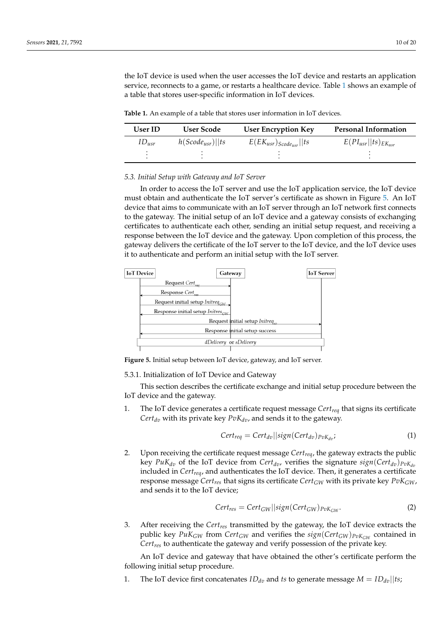the IoT device is used when the user accesses the IoT device and restarts an application service, reconnects to a game, or restarts a healthcare device. Table [1](#page-9-0) shows an example of a table that stores user-specific information in IoT devices.

<span id="page-9-0"></span>**Table 1.** An example of a table that stores user information in IoT devices.

| <b>User ID</b> | User Scode           | <b>User Encryption Key</b>       | <b>Personal Information</b>  |
|----------------|----------------------|----------------------------------|------------------------------|
| $ID_{usr}$     | $h(Scode_{usr})  ts$ | $E(EK_{usr})_{Scode_{usr}}$   ts | $E(PI_{usr}  ts)_{EK_{usr}}$ |
|                |                      |                                  |                              |

#### *5.3. Initial Setup with Gateway and IoT Server*

In order to access the IoT server and use the IoT application service, the IoT device must obtain and authenticate the IoT server's certificate as shown in Figure [5.](#page-9-1) An IoT device that aims to communicate with an IoT server through an IoT network first connects to the gateway. The initial setup of an IoT device and a gateway consists of exchanging certificates to authenticate each other, sending an initial setup request, and receiving a response between the IoT device and the gateway. Upon completion of this process, the gateway delivers the certificate of the IoT server to the IoT device, and the IoT device uses it to authenticate and perform an initial setup with the IoT server.

<span id="page-9-1"></span>

**Figure 5.** Initial setup between IoT device, gateway, and IoT server.

5.3.1. Initialization of IoT Device and Gateway

This section describes the certificate exchange and initial setup procedure between the IoT device and the gateway.

1. The IoT device generates a certificate request message *Certreq* that signs its certificate *Cert*<sub>dv</sub> with its private key  $PvK_{dv}$ , and sends it to the gateway.

$$
Cert_{req} = Cert_{dv} || sign(Cert_{dv})_{PvK_{dv}};
$$
\n(1)

2. Upon receiving the certificate request message *Certreq*, the gateway extracts the public key *PuK*<sub>dv</sub> of the IoT device from *Cert*<sub>dv</sub>, verifies the signature  $sign(Cert_{dv})_{PvK_{dv}}$ included in *Certreq*, and authenticates the IoT device. Then, it generates a certificate response message *Certres* that signs its certificate *CertGW* with its private key *PvKGW*, and sends it to the IoT device;

$$
Cert_{res} = Cert_{GW} || sign(Cert_{GW})_{PvK_{GW}}.
$$
\n(2)

3. After receiving the *Certres* transmitted by the gateway, the IoT device extracts the public key  $Puk_{GW}$  from  $Cert_{GW}$  and verifies the  $sign(Cert_{GW})_{Pvk_{GW}}$  contained in *Certres* to authenticate the gateway and verify possession of the private key.

An IoT device and gateway that have obtained the other's certificate perform the following initial setup procedure.

1. The IoT device first concatenates  $ID_{dv}$  and *ts* to generate message  $M = ID_{dv} ||ts;$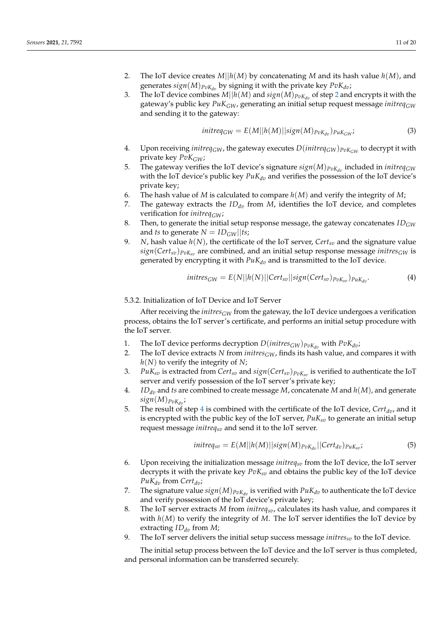- <span id="page-10-0"></span>2. The IoT device creates *M*||*h*(*M*) by concatenating *M* and its hash value *h*(*M*), and generates  $sign(M)_{PvK_{dv}}$  by signing it with the private key  $PvK_{dv}$ ;
- 3. The IoT device combines  $M||h(M)$  and  $sign(M)_{PvK_{dp}}$  of step [2](#page-10-0) and encrypts it with the gateway's public key *PuKGW*, generating an initial setup request message *initreqGW* and sending it to the gateway:

$$
initreq_{GW} = E(M||h(M)||sign(M)_{pvK_{dv}})_{puK_{GW}};
$$
\n(3)

- 4. Upon receiving *initreq<sub>GW</sub>*, the gateway executes  $D(intfreq_{GW})_{PvK_{GW}}$  to decrypt it with private key *PvKGW*;
- 5. The gateway verifies the IoT device's signature  $sign(M)_{PvK_{dn}}$  included in *initreq<sub>GW</sub>* with the IoT device's public key  $PuK_{dv}$  and verifies the possession of the IoT device's private key;
- 6. The hash value of *M* is calculated to compare *h*(*M*) and verify the integrity of *M*;
- 7. The gateway extracts the  $ID_{dv}$  from  $M$ , identifies the IoT device, and completes verification for *initreqGW*;
- 8. Then, to generate the initial setup response message, the gateway concatenates *IDGW* and *ts* to generate  $N = ID_{GW}||ts;$
- 9. *N*, hash value  $h(N)$ , the certificate of the IoT server, Cert<sub>*sv*</sub> and the signature value *sign*(*Certsv*)*PvKsv* are combined, and an initial setup response message *initresGW* is generated by encrypting it with  $PuK_{dv}$  and is transmitted to the IoT device.

$$
initres_{GW} = E(N||h(N)||Cert_{sv}||sign(Cert_{sv})_{pvK_{sv}})_{PuK_{dv}}.
$$
\n(4)

5.3.2. Initialization of IoT Device and IoT Server

After receiving the *initres<sub>GW</sub>* from the gateway, the IoT device undergoes a verification process, obtains the IoT server's certificate, and performs an initial setup procedure with the IoT server.

- 1. The IoT device performs decryption  $D(intires_{GW})_{p \circ K_{dv}}$  with  $P \circ K_{dv}$ ;<br>2. The IoT device extracts N from *initres*  $\subset \mathbb{R}^d$ , finds its hash value, and
- The IoT device extracts *N* from *initres* $_{GW}$ , finds its hash value, and compares it with *h*(*N*) to verify the integrity of *N*;
- 3. *PuKsv* is extracted from *Certsv* and *sign*(*Certsv*)*PvKsv* is verified to authenticate the IoT server and verify possession of the IoT server's private key;
- <span id="page-10-1"></span>4. *IDdv* and *ts* are combined to create message *M*, concatenate *M* and *h*(*M*), and generate  $sign(M)_{PvK_{dv}}$ ;
- 5. The result of step [4](#page-10-1) is combined with the certificate of the IoT device, *Certdv*, and it is encrypted with the public key of the IoT server, *PuKsv* to generate an initial setup request message *initreqsv* and send it to the IoT server.

$$
initreq_{sv} = E(M||h(M)||sign(M)_{pvK_{dv}}||Cert_{dv})_{puK_{sv}};
$$
\n(5)

- 6. Upon receiving the initialization message *initreqsv* from the IoT device, the IoT server decrypts it with the private key *PvKsv* and obtains the public key of the IoT device  $PuK_{dv}$  from  $Cert_{dv}$ ;
- 7. The signature value  $sign(M)_{PvK_{dv}}$  is verified with  $PuK_{dv}$  to authenticate the IoT device and verify possession of the IoT device's private key;
- 8. The IoT server extracts *M* from *initreqsv*, calculates its hash value, and compares it with *h*(*M*) to verify the integrity of *M*. The IoT server identifies the IoT device by extracting  $ID_{dv}$  from  $M$ ;
- 9. The IoT server delivers the initial setup success message *initressv* to the IoT device.

The initial setup process between the IoT device and the IoT server is thus completed, and personal information can be transferred securely.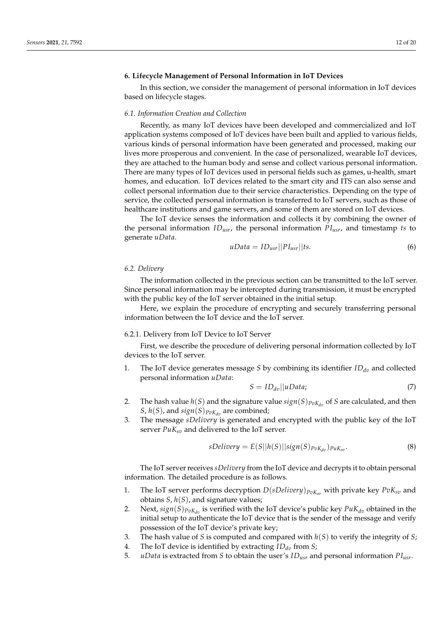# <span id="page-11-0"></span>**6. Lifecycle Management of Personal Information in IoT Devices**

In this section, we consider the management of personal information in IoT devices based on lifecycle stages.

#### *6.1. Information Creation and Collection*

Recently, as many IoT devices have been developed and commercialized and IoT application systems composed of IoT devices have been built and applied to various fields, various kinds of personal information have been generated and processed, making our lives more prosperous and convenient. In the case of personalized, wearable IoT devices, they are attached to the human body and sense and collect various personal information. There are many types of IoT devices used in personal fields such as games, u-health, smart homes, and education. IoT devices related to the smart city and ITS can also sense and collect personal information due to their service characteristics. Depending on the type of service, the collected personal information is transferred to IoT servers, such as those of healthcare institutions and game servers, and some of them are stored on IoT devices.

The IoT device senses the information and collects it by combining the owner of the personal information *IDusr*, the personal information *PIusr*, and timestamp *ts* to generate *uData*.

$$
uData = ID_{usr} ||PI_{usr}||ts.
$$
\n
$$
(6)
$$

#### *6.2. Delivery*

The information collected in the previous section can be transmitted to the IoT server. Since personal information may be intercepted during transmission, it must be encrypted with the public key of the IoT server obtained in the initial setup.

Here, we explain the procedure of encrypting and securely transferring personal information between the IoT device and the IoT server.

# 6.2.1. Delivery from IoT Device to IoT Server

First, we describe the procedure of delivering personal information collected by IoT devices to the IoT server.

1. The IoT device generates message *S* by combining its identifier  $ID_{dv}$  and collected personal information *uData*:

$$
S = ID_{dv} || uData; \tag{7}
$$

- 2. The hash value  $h(S)$  and the signature value  $sign(S)_{PvK_{dv}}$  of *S* are calculated, and then *S*,  $h(S)$ , and  $sign(S)_{PvK_{dn}}$  are combined;
- 3. The message *sDelivery* is generated and encrypted with the public key of the IoT server *PuKsv* and delivered to the IoT server.

$$
sDelivery = E(S||h(S)||sign(S)p_{vK_{dv}})p_{uK_{sv}}.
$$
\n(8)

The IoT server receives *sDelivery* from the IoT device and decrypts it to obtain personal information. The detailed procedure is as follows.

- 1. The IoT server performs decryption *D*(*sDelivery*)*PvKsv* with private key *PvKsv* and obtains *S*, *h*(*S*), and signature values;
- 2. Next,  $sign(S)_{PvK_t}$  is verified with the IoT device's public key  $PuK_{dv}$  obtained in the initial setup to authenticate the IoT device that is the sender of the message and verify possession of the IoT device's private key;
- 3. The hash value of *S* is computed and compared with *h*(*S*) to verify the integrity of *S*;
- 4. The IoT device is identified by extracting *IDdv* from *S*;
- 5. *uData* is extracted from *S* to obtain the user's *IDusr* and personal information *PIusr*.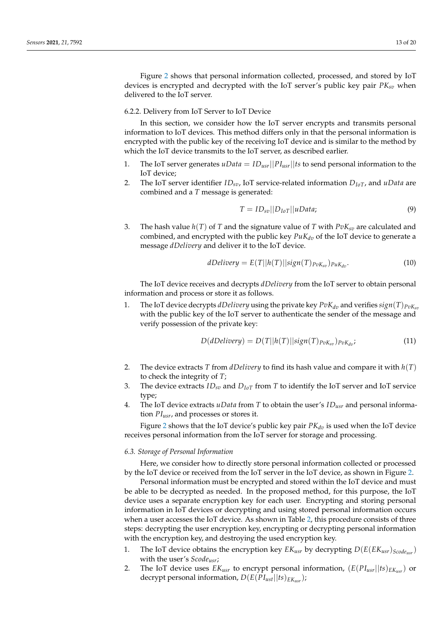Figure [2](#page-5-0) shows that personal information collected, processed, and stored by IoT devices is encrypted and decrypted with the IoT server's public key pair *PKsv* when delivered to the IoT server.

# <span id="page-12-0"></span>6.2.2. Delivery from IoT Server to IoT Device

In this section, we consider how the IoT server encrypts and transmits personal information to IoT devices. This method differs only in that the personal information is encrypted with the public key of the receiving IoT device and is similar to the method by which the IoT device transmits to the IoT server, as described earlier.

- 1. The IoT server generates  $uData = ID_{usr}||PI_{usr}||ts$  to send personal information to the IoT device;
- 2. The IoT server identifier *IDsv*, IoT service-related information *DIoT*, and *uData* are combined and a *T* message is generated:

$$
T = ID_{sv}||D_{IoT}||uData;
$$
\n(9)

3. The hash value  $h(T)$  of *T* and the signature value of *T* with  $PvK_{sv}$  are calculated and combined, and encrypted with the public key  $PuK_{dv}$  of the IoT device to generate a message *dDelivery* and deliver it to the IoT device.

$$
dDelivery = E(T||h(T)||sign(T)_{PvK_{sv}})_{PuK_{dv}}.
$$
\n(10)

The IoT device receives and decrypts *dDelivery* from the IoT server to obtain personal information and process or store it as follows.

1. The IoT device decrypts *dDelivery* using the private key  $PvK_{dv}$  and verifies  $sign(T)p_{vK_{sv}}$ with the public key of the IoT server to authenticate the sender of the message and verify possession of the private key:

$$
D(dDelivery) = D(T||h(T)||sign(T)p_{vK_{sv}})p_{vK_{dv}};
$$
\n(11)

- 2. The device extracts *T* from *dDelivery* to find its hash value and compare it with *h*(*T*) to check the integrity of *T*;
- 3. The device extracts *IDsv* and *DIoT* from *T* to identify the IoT server and IoT service type;
- 4. The IoT device extracts *uData* from *T* to obtain the user's *IDusr* and personal information *PIusr*, and processes or stores it.

Figure [2](#page-5-0) shows that the IoT device's public key pair  $PK_{dv}$  is used when the IoT device receives personal information from the IoT server for storage and processing.

# <span id="page-12-1"></span>*6.3. Storage of Personal Information*

Here, we consider how to directly store personal information collected or processed by the IoT device or received from the IoT server in the IoT device, as shown in Figure [2.](#page-5-0)

Personal information must be encrypted and stored within the IoT device and must be able to be decrypted as needed. In the proposed method, for this purpose, the IoT device uses a separate encryption key for each user. Encrypting and storing personal information in IoT devices or decrypting and using stored personal information occurs when a user accesses the IoT device. As shown in Table [2,](#page-13-1) this procedure consists of three steps: decrypting the user encryption key, encrypting or decrypting personal information with the encryption key, and destroying the used encryption key.

- 1. The IoT device obtains the encryption key *EKusr* by decrypting *D*(*E*(*EKusr*)*Scodeusr* ) with the user's *Scodeusr*;
- 2. The IoT device uses  $EK_{usr}$  to encrypt personal information,  $(E(PL_{usr}||ts)_{EK_{usr}})$  or decrypt personal information, *D*(*E*(*PIust*||*ts*)*EKusr* );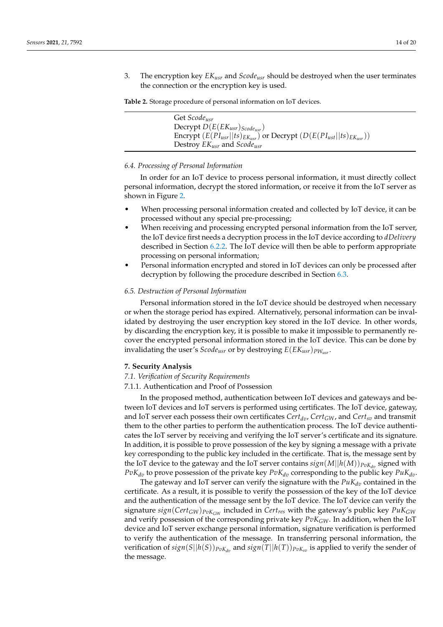3. The encryption key *EKusr* and *Scodeusr* should be destroyed when the user terminates the connection or the encryption key is used.

<span id="page-13-1"></span>**Table 2.** Storage procedure of personal information on IoT devices.

| Get Scode <sub>usr</sub>                                                            |
|-------------------------------------------------------------------------------------|
| Decrypt $D(E(EK_{usr})_{Scode_{usr}})$                                              |
| Encrypt $(E(PI_{usr}  ts)_{EK_{usr}})$ or Decrypt $(D(E(PI_{ust}  ts)_{EK_{usr}}))$ |
| Destroy $EK_{usr}$ and $Scode_{usr}$                                                |

# *6.4. Processing of Personal Information*

In order for an IoT device to process personal information, it must directly collect personal information, decrypt the stored information, or receive it from the IoT server as shown in Figure [2.](#page-5-0)

- When processing personal information created and collected by IoT device, it can be processed without any special pre-processing;
- When receiving and processing encrypted personal information from the IoT server, the IoT device first needs a decryption process in the IoT device according to *dDelivery* described in Section [6.2.2.](#page-12-0) The IoT device will then be able to perform appropriate processing on personal information;
- Personal information encrypted and stored in IoT devices can only be processed after decryption by following the procedure described in Section [6.3.](#page-12-1)

# *6.5. Destruction of Personal Information*

Personal information stored in the IoT device should be destroyed when necessary or when the storage period has expired. Alternatively, personal information can be invalidated by destroying the user encryption key stored in the IoT device. In other words, by discarding the encryption key, it is possible to make it impossible to permanently recover the encrypted personal information stored in the IoT device. This can be done by invalidating the user's *Scodeusr* or by destroying *E*(*EKusr*)*PWusr* .

#### <span id="page-13-0"></span>**7. Security Analysis**

#### *7.1. Verification of Security Requirements*

#### 7.1.1. Authentication and Proof of Possession

In the proposed method, authentication between IoT devices and gateways and between IoT devices and IoT servers is performed using certificates. The IoT device, gateway, and IoT server each possess their own certificates *Certdv*, *CertGW*, and *Certsv* and transmit them to the other parties to perform the authentication process. The IoT device authenticates the IoT server by receiving and verifying the IoT server's certificate and its signature. In addition, it is possible to prove possession of the key by signing a message with a private key corresponding to the public key included in the certificate. That is, the message sent by the IoT device to the gateway and the IoT server contains  $sign(M||h(M))_{PvK_{dn}}$  signed with  $PvK_{dv}$  to prove possession of the private key  $PvK_{dv}$  corresponding to the public key  $PuK_{dv}$ .

The gateway and IoT server can verify the signature with the  $PuK_{dv}$  contained in the certificate. As a result, it is possible to verify the possession of the key of the IoT device and the authentication of the message sent by the IoT device. The IoT device can verify the signature *sign*(*CertGW*)*PvKGW* included in *Certres* with the gateway's public key *PuKGW* and verify possession of the corresponding private key *PvKGW*. In addition, when the IoT device and IoT server exchange personal information, signature verification is performed to verify the authentication of the message. In transferring personal information, the verification of  $sign(S||h(S))_{PvK_{dv}}$  and  $sign(T||h(T))_{PvK_{sv}}$  is applied to verify the sender of the message.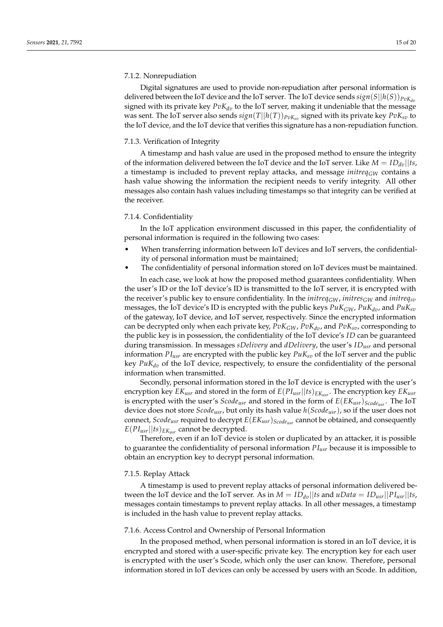### 7.1.2. Nonrepudiation

Digital signatures are used to provide non-repudiation after personal information is delivered between the IoT device and the IoT server. The IoT device sends  $sign(S||h(S))_{PvK_{dn}}$ signed with its private key  $PvK_{dv}$  to the IoT server, making it undeniable that the message was sent. The IoT server also sends  $sign(T||h(T))_{PvK_{sv}}$  signed with its private key  $PvK_{sv}$  to the IoT device, and the IoT device that verifies this signature has a non-repudiation function.

# 7.1.3. Verification of Integrity

A timestamp and hash value are used in the proposed method to ensure the integrity of the information delivered between the IoT device and the IoT server. Like  $M = ID_{dn}||ts$ , a timestamp is included to prevent replay attacks, and message *initreq<sub>GW</sub>* contains a hash value showing the information the recipient needs to verify integrity. All other messages also contain hash values including timestamps so that integrity can be verified at the receiver.

# 7.1.4. Confidentiality

In the IoT application environment discussed in this paper, the confidentiality of personal information is required in the following two cases:

- When transferring information between IoT devices and IoT servers, the confidentiality of personal information must be maintained;
- The confidentiality of personal information stored on IoT devices must be maintained.

In each case, we look at how the proposed method guarantees confidentiality. When the user's ID or the IoT device's ID is transmitted to the IoT server, it is encrypted with the receiver's public key to ensure confidentiality. In the *initreq<sub>GW</sub>*, *initres<sub>GW</sub>* and *initreq<sub>sv</sub>* messages, the IoT device's ID is encrypted with the public keys  $Puk_{GW}$ ,  $Puk_{dv}$ , and  $Puk_{sv}$ of the gateway, IoT device, and IoT server, respectively. Since the encrypted information can be decrypted only when each private key,  $PvK_{GW}$ ,  $PvK_{dv}$ , and  $PvK_{sv}$ , corresponding to the public key is in possession, the confidentiality of the IoT device's *ID* can be guaranteed during transmission. In messages *sDelivery* and *dDelivery*, the user's *IDusr* and personal information  $PI_{usr}$  are encrypted with the public key  $PuK_{sv}$  of the IoT server and the public key *PuKdv* of the IoT device, respectively, to ensure the confidentiality of the personal information when transmitted.

Secondly, personal information stored in the IoT device is encrypted with the user's encryption key *EKusr* and stored in the form of *E*(*PIusr*||*ts*)*EKusr* . The encryption key *EKusr* is encrypted with the user's *Scodeusr* and stored in the form of *E*(*EKusr*)*Scodeusr* . The IoT device does not store *Scodeusr*, but only its hash value *h*(*Scodeusr*), so if the user does not connect, *Scodeusr* required to decrypt *E*(*EKusr*)*Scodeusr* cannot be obtained, and consequently  $E(PI_{usr} || ts)_{EK_{usr}}$  cannot be decrypted.

Therefore, even if an IoT device is stolen or duplicated by an attacker, it is possible to guarantee the confidentiality of personal information *PIusr* because it is impossible to obtain an encryption key to decrypt personal information.

#### 7.1.5. Replay Attack

A timestamp is used to prevent replay attacks of personal information delivered between the IoT device and the IoT server. As in  $M = ID_{dv}||ts$  and  $uData = ID_{usr}||PI_{usr}||ts$ , messages contain timestamps to prevent replay attacks. In all other messages, a timestamp is included in the hash value to prevent replay attacks.

#### 7.1.6. Access Control and Ownership of Personal Information

In the proposed method, when personal information is stored in an IoT device, it is encrypted and stored with a user-specific private key. The encryption key for each user is encrypted with the user's Scode, which only the user can know. Therefore, personal information stored in IoT devices can only be accessed by users with an Scode. In addition,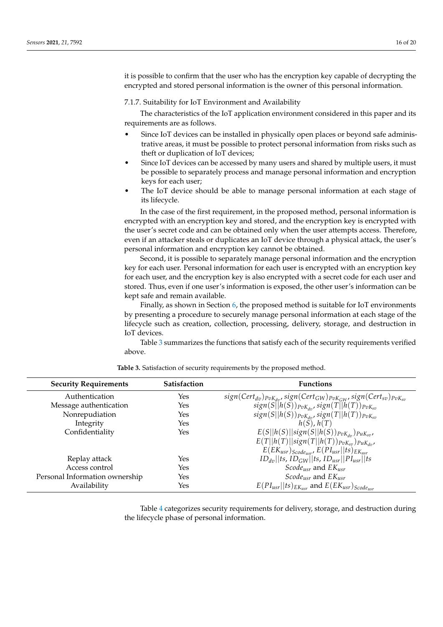it is possible to confirm that the user who has the encryption key capable of decrypting the encrypted and stored personal information is the owner of this personal information.

7.1.7. Suitability for IoT Environment and Availability

The characteristics of the IoT application environment considered in this paper and its requirements are as follows.

- Since IoT devices can be installed in physically open places or beyond safe administrative areas, it must be possible to protect personal information from risks such as theft or duplication of IoT devices;
- Since IoT devices can be accessed by many users and shared by multiple users, it must be possible to separately process and manage personal information and encryption keys for each user;
- The IoT device should be able to manage personal information at each stage of its lifecycle.

In the case of the first requirement, in the proposed method, personal information is encrypted with an encryption key and stored, and the encryption key is encrypted with the user's secret code and can be obtained only when the user attempts access. Therefore, even if an attacker steals or duplicates an IoT device through a physical attack, the user's personal information and encryption key cannot be obtained.

Second, it is possible to separately manage personal information and the encryption key for each user. Personal information for each user is encrypted with an encryption key for each user, and the encryption key is also encrypted with a secret code for each user and stored. Thus, even if one user's information is exposed, the other user's information can be kept safe and remain available.

Finally, as shown in Section [6,](#page-11-0) the proposed method is suitable for IoT environments by presenting a procedure to securely manage personal information at each stage of the lifecycle such as creation, collection, processing, delivery, storage, and destruction in IoT devices.

Table [3](#page-15-0) summarizes the functions that satisfy each of the security requirements verified above.

<span id="page-15-0"></span>

| <b>Security Requirements</b>   | <b>Satisfaction</b> | <b>Functions</b>                                                                           |
|--------------------------------|---------------------|--------------------------------------------------------------------------------------------|
| Authentication                 | Yes                 | $sign(Cert_{dv})_{PvK_{dv}}$ , $sign(Cert_{GW})_{PvK_{GW}}$ , $sign(Cert_{sv})_{PvK_{sv}}$ |
| Message authentication         | Yes                 | $sign(S  h(S))_{PvK_{dv}}, sign(T  h(T))_{PvK_{sv}}$                                       |
| Nonrepudiation                 | Yes                 | $sign(S  h(S))_{PvK_{dv}}, sign(T  h(T))_{PvK_{sv}}$                                       |
| Integrity                      | Yes                 | $h(S)$ , $h(T)$                                                                            |
| Confidentiality                | Yes                 | $E(S  h(S)  sign(S  h(S))_{PvK_{dv}})_{PuK_{sv}}$                                          |
|                                |                     | $E(T  h(T)  sign(T  h(T))_{PvK_{sp}})_{PuK_{dr}}$                                          |
|                                |                     | $E(EK_{usr})_{Scode_{usr}} E(PI_{usr}  ts)_{EK_{usr}}$                                     |
| Replay attack                  | Yes                 | $ID_{dv}$   ts, $ID_{GW}$   ts, $ID_{usr}$    $PI_{usr}$   ts                              |
| Access control                 | Yes                 | <i>Scode<sub>usr</sub></i> and $EK_{usr}$                                                  |
| Personal Information ownership | Yes                 | <i>Scode<sub>usr</sub></i> and $EK_{usr}$                                                  |
| Availability                   | Yes                 | $E(PI_{usr}  ts)_{EK_{usr}}$ and $E(EK_{usr})_{Scode_{usr}}$                               |

**Table 3.** Satisfaction of security requirements by the proposed method.

Table [4](#page-16-0) categorizes security requirements for delivery, storage, and destruction during the lifecycle phase of personal information.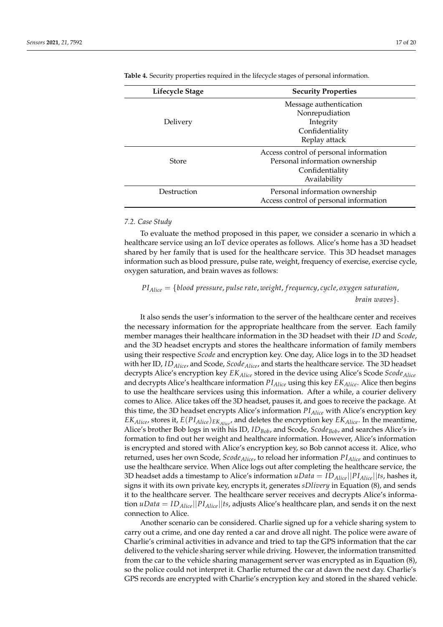| Lifecycle Stage | <b>Security Properties</b>             |  |
|-----------------|----------------------------------------|--|
|                 | Message authentication                 |  |
|                 | Nonrepudiation                         |  |
| Delivery        | Integrity                              |  |
|                 | Confidentiality                        |  |
|                 | Replay attack                          |  |
|                 | Access control of personal information |  |
| Store           | Personal information ownership         |  |
|                 | Confidentiality                        |  |
|                 | Availability                           |  |
| Destruction     | Personal information ownership         |  |
|                 | Access control of personal information |  |

<span id="page-16-0"></span>**Table 4.** Security properties required in the lifecycle stages of personal information.

#### *7.2. Case Study*

To evaluate the method proposed in this paper, we consider a scenario in which a healthcare service using an IoT device operates as follows. Alice's home has a 3D headset shared by her family that is used for the healthcare service. This 3D headset manages information such as blood pressure, pulse rate, weight, frequency of exercise, exercise cycle, oxygen saturation, and brain waves as follows:

# *PIAlice* = {*blood pressure*, *pulse rate*, *weight*, *f requency*, *cycle*, *oxygen saturation*, *brain waves*}.

It also sends the user's information to the server of the healthcare center and receives the necessary information for the appropriate healthcare from the server. Each family member manages their healthcare information in the 3D headset with their *ID* and *Scode*, and the 3D headset encrypts and stores the healthcare information of family members using their respective *Scode* and encryption key. One day, Alice logs in to the 3D headset with her ID, *IDAlice*, and Scode, *ScodeAlice*, and starts the healthcare service. The 3D headset decrypts Alice's encryption key *EKAlice* stored in the device using Alice's Scode *ScodeAlice* and decrypts Alice's healthcare information *PIAlice* using this key *EKAlice*. Alice then begins to use the healthcare services using this information. After a while, a courier delivery comes to Alice. Alice takes off the 3D headset, pauses it, and goes to receive the package. At this time, the 3D headset encrypts Alice's information *PIAlice* with Alice's encryption key *EKAlice*, stores it, *E*(*PIAlice*)*EKAlice*, and deletes the encryption key *EKAlice*. In the meantime, Alice's brother Bob logs in with his ID, *IDBob*, and Scode, *ScodeBob*, and searches Alice's information to find out her weight and healthcare information. However, Alice's information is encrypted and stored with Alice's encryption key, so Bob cannot access it. Alice, who returned, uses her own Scode, *ScodeAlice*, to reload her information *PIAlice* and continues to use the healthcare service. When Alice logs out after completing the healthcare service, the 3D headset adds a timestamp to Alice's information  $uData = ID_{Alice} ||PI_{Alice} ||ts$ , hashes it, signs it with its own private key, encrypts it, generates *sDlivery* in Equation (8), and sends it to the healthcare server. The healthcare server receives and decrypts Alice's information *uData* = *IDAlice*||*PIAlice*||*ts*, adjusts Alice's healthcare plan, and sends it on the next connection to Alice.

Another scenario can be considered. Charlie signed up for a vehicle sharing system to carry out a crime, and one day rented a car and drove all night. The police were aware of Charlie's criminal activities in advance and tried to tap the GPS information that the car delivered to the vehicle sharing server while driving. However, the information transmitted from the car to the vehicle sharing management server was encrypted as in Equation (8), so the police could not interpret it. Charlie returned the car at dawn the next day. Charlie's GPS records are encrypted with Charlie's encryption key and stored in the shared vehicle.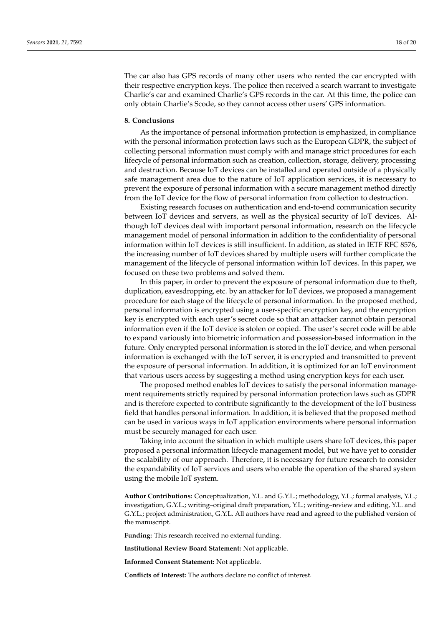The car also has GPS records of many other users who rented the car encrypted with their respective encryption keys. The police then received a search warrant to investigate Charlie's car and examined Charlie's GPS records in the car. At this time, the police can only obtain Charlie's Scode, so they cannot access other users' GPS information.

#### <span id="page-17-0"></span>**8. Conclusions**

As the importance of personal information protection is emphasized, in compliance with the personal information protection laws such as the European GDPR, the subject of collecting personal information must comply with and manage strict procedures for each lifecycle of personal information such as creation, collection, storage, delivery, processing and destruction. Because IoT devices can be installed and operated outside of a physically safe management area due to the nature of IoT application services, it is necessary to prevent the exposure of personal information with a secure management method directly from the IoT device for the flow of personal information from collection to destruction.

Existing research focuses on authentication and end-to-end communication security between IoT devices and servers, as well as the physical security of IoT devices. Although IoT devices deal with important personal information, research on the lifecycle management model of personal information in addition to the confidentiality of personal information within IoT devices is still insufficient. In addition, as stated in IETF RFC 8576, the increasing number of IoT devices shared by multiple users will further complicate the management of the lifecycle of personal information within IoT devices. In this paper, we focused on these two problems and solved them.

In this paper, in order to prevent the exposure of personal information due to theft, duplication, eavesdropping, etc. by an attacker for IoT devices, we proposed a management procedure for each stage of the lifecycle of personal information. In the proposed method, personal information is encrypted using a user-specific encryption key, and the encryption key is encrypted with each user's secret code so that an attacker cannot obtain personal information even if the IoT device is stolen or copied. The user's secret code will be able to expand variously into biometric information and possession-based information in the future. Only encrypted personal information is stored in the IoT device, and when personal information is exchanged with the IoT server, it is encrypted and transmitted to prevent the exposure of personal information. In addition, it is optimized for an IoT environment that various users access by suggesting a method using encryption keys for each user.

The proposed method enables IoT devices to satisfy the personal information management requirements strictly required by personal information protection laws such as GDPR and is therefore expected to contribute significantly to the development of the IoT business field that handles personal information. In addition, it is believed that the proposed method can be used in various ways in IoT application environments where personal information must be securely managed for each user.

Taking into account the situation in which multiple users share IoT devices, this paper proposed a personal information lifecycle management model, but we have yet to consider the scalability of our approach. Therefore, it is necessary for future research to consider the expandability of IoT services and users who enable the operation of the shared system using the mobile IoT system.

**Author Contributions:** Conceptualization, Y.L. and G.Y.L.; methodology, Y.L.; formal analysis, Y.L.; investigation, G.Y.L.; writing–original draft preparation, Y.L.; writing–review and editing, Y.L. and G.Y.L.; project administration, G.Y.L. All authors have read and agreed to the published version of the manuscript.

**Funding:** This research received no external funding.

**Institutional Review Board Statement:** Not applicable.

**Informed Consent Statement:** Not applicable.

**Conflicts of Interest:** The authors declare no conflict of interest.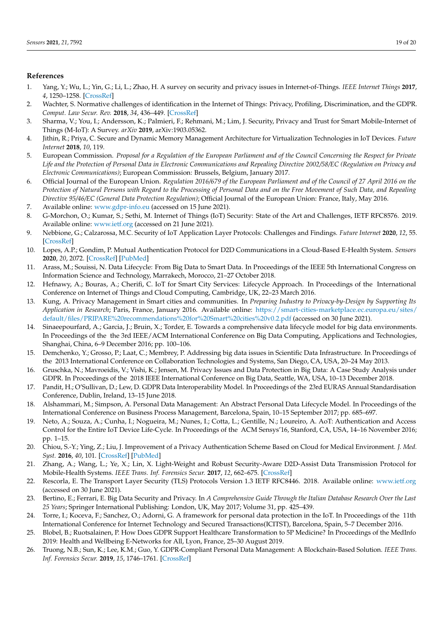# **References**

- <span id="page-18-0"></span>1. Yang, Y.; Wu, L.; Yin, G.; Li, L.; Zhao, H. A survey on security and privacy issues in Internet-of-Things. *IEEE Internet Things* **2017**, *4*, 1250–1258. [\[CrossRef\]](http://doi.org/10.1109/JIOT.2017.2694844)
- 2. Wachter, S. Normative challenges of identification in the Internet of Things: Privacy, Profiling, Discrimination, and the GDPR. *Comput. Law Secur. Rev.* **2018**, *34*, 436–449. [\[CrossRef\]](http://dx.doi.org/10.1016/j.clsr.2018.02.002)
- 3. Sharma, V.; You, I.; Andersson, K.; Palmieri, F.; Rehmani, M.; Lim, J. Security, Privacy and Trust for Smart Mobile-Internet of Things (M-IoT): A Survey. *arXiv* **2019**, arXiv:1903.05362.
- <span id="page-18-1"></span>4. Jithin, R.; Priya, C. Secure and Dynamic Memory Management Architecture for Virtualization Technologies in IoT Devices. *Future Internet* **2018**, *10*, 119.
- <span id="page-18-2"></span>5. European Commission. *Proposal for a Regulation of the European Parliament and of the Council Concerning the Respect for Private Life and the Protection of Personal Data in Electronic Communications and Repealing Directive 2002/58/EC (Regulation on Privacy and Electronic Communications)*; European Commission: Brussels, Belgium, January 2017.
- 6. Official Journal of the European Union. *Regulation 2016/679 of the European Parliament and of the Council of 27 April 2016 on the Protection of Natural Persons with Regard to the Processing of Personal Data and on the Free Movement of Such Data, and Repealing Directive 95/46/EC (General Data Protection Regulation)*; Official Journal of the European Union: France, Italy, May 2016.
- <span id="page-18-3"></span>7. Available online: <www.gdpr-info.eu> (accessed on 15 June 2021).
- <span id="page-18-4"></span>8. G-Morchon, O.; Kumar, S.; Sethi, M. Internet of Things (IoT) Security: State of the Art and Challenges, IETF RFC8576. 2019. Available online: <www.ietf.org> (accessed on 21 June 2021).
- <span id="page-18-5"></span>9. Nebbione, G.; Calzarossa, M.C. Security of IoT Application Layer Protocols: Challenges and Findings. *Future Internet* **2020**, *12*, 55. [\[CrossRef\]](http://dx.doi.org/10.3390/fi12030055)
- <span id="page-18-6"></span>10. Lopes, A.P.; Gondim, P. Mutual Authentication Protocol for D2D Communications in a Cloud-Based E-Health System. *Sensors* **2020**, *20*, 2072. [\[CrossRef\]](http://dx.doi.org/10.3390/s20072072) [\[PubMed\]](http://www.ncbi.nlm.nih.gov/pubmed/32272675)
- <span id="page-18-7"></span>11. Arass, M.; Souissi, N. Data Lifecycle: From Big Data to Smart Data. In Proceedings of the IEEE 5th International Congress on Information Science and Technology, Marrakech, Morocco, 21–27 October 2018.
- <span id="page-18-8"></span>12. Hefnawy, A.; Bouras, A.; Cherifi, C. IoT for Smart City Services: Lifecycle Approach. In Proceedings of the International Conference on Internet of Things and Cloud Computing, Cambridge, UK, 22–23 March 2016.
- <span id="page-18-9"></span>13. Kung, A. Privacy Management in Smart cities and communities. In *Preparing Industry to Privacy-by-Design by Supporting Its Application in Research*; Paris, France, January 2016. Available online: [https://smart-cities-marketplace.ec.europa.eu/sites/](https://smart-cities-marketplace.ec.europa.eu/sites/default/files/PRIPARE%20recommendations%20for%20Smart%20cities%20v0.2.pdf) [default/files/PRIPARE%20recommendations%20for%20Smart%20cities%20v0.2.pdf](https://smart-cities-marketplace.ec.europa.eu/sites/default/files/PRIPARE%20recommendations%20for%20Smart%20cities%20v0.2.pdf) (accessed on 30 June 2021).
- <span id="page-18-10"></span>14. Sinaeepourfard, A.; Garcia, J.; Bruin, X.; Torder, E. Towards a comprehensive data lifecycle model for big data environments. In Proceedings of the the 3rd IEEE/ACM International Conference on Big Data Computing, Applications and Technologies, Shanghai, China, 6–9 December 2016; pp. 100–106.
- <span id="page-18-11"></span>15. Demchenko, Y.; Grosso, P.; Laat, C.; Membrey, P. Addressing big data issues in Scientific Data Infrastructure. In Proceedings of the 2013 International Conference on Collaboration Technologies and Systems, San Diego, CA, USA, 20–24 May 2013.
- <span id="page-18-12"></span>16. Gruschka, N.; Mavroeidis, V.; Vishi, K.; Jensen, M. Privacy Issues and Data Protection in Big Data: A Case Study Analysis under GDPR. In Proceedings of the 2018 IEEE International Conference on Big Data, Seattle, WA, USA, 10–13 December 2018.
- <span id="page-18-13"></span>17. Pandit, H.; O'Sullivan, D.; Lew, D. GDPR Data Interoperability Model. In Proceedings of the 23rd EURAS Annual Standardisation Conference, Dublin, Ireland, 13–15 June 2018.
- <span id="page-18-14"></span>18. Alshammari, M.; Simpson, A. Personal Data Management: An Abstract Personal Data Lifecycle Model. In Proceedings of the International Conference on Business Process Management, Barcelona, Spain, 10–15 September 2017; pp. 685–697.
- <span id="page-18-15"></span>19. Neto, A.; Souza, A.; Cunha, I.; Nogueira, M.; Nunes, I.; Cotta, L.; Gentille, N.; Loureiro, A. AoT: Authentication and Access Control for the Entire IoT Device Life-Cycle. In Proceedings of the ACM Sensys'16, Stanford, CA, USA, 14–16 November 2016; pp. 1–15.
- <span id="page-18-16"></span>20. Chiou, S.-Y.; Ying, Z.; Liu, J. Improvement of a Privacy Authentication Scheme Based on Cloud for Medical Environment. *J. Med. Syst.* **2016**, *40*, 101. [\[CrossRef\]](http://dx.doi.org/10.1007/s10916-016-0453-1) [\[PubMed\]](http://www.ncbi.nlm.nih.gov/pubmed/26875078)
- <span id="page-18-17"></span>21. Zhang, A.; Wang, L.; Ye, X.; Lin, X. Light-Weight and Robust Security-Aware D2D-Assist Data Transmission Protocol for Mobile-Health Systems. *IEEE Trans. Inf. Forensics Secur.* **2017**, *12*, 662–675. [\[CrossRef\]](http://dx.doi.org/10.1109/TIFS.2016.2631950)
- <span id="page-18-18"></span>22. Rescorla, E. The Transport Layer Security (TLS) Protocols Version 1.3 IETF RFC8446. 2018. Available online: <www.ietf.org> (accessed on 30 June 2021).
- <span id="page-18-19"></span>23. Bertino, E.; Ferrari, E. Big Data Security and Privacy. In *A Comprehensive Guide Through the Italian Database Research Over the Last 25 Years*; Springer International Publishing: London, UK, May 2017; Volume 31, pp. 425–439.
- <span id="page-18-20"></span>24. Torre, I.; Koceva, F.; Sanchez, O.; Adorni, G. A framework for personal data protection in the IoT. In Proceedings of the 11th International Conference for Internet Technology and Secured Transactions(ICITST), Barcelona, Spain, 5–7 December 2016.
- <span id="page-18-21"></span>25. Blobel, B.; Ruotsalainen, P. How Does GDPR Support Healthcare Transformation to 5P Medicine? In Proceedings of the MedInfo 2019: Health and Wellbeing E-Networks for All, Lyon, France, 25–30 August 2019.
- <span id="page-18-22"></span>26. Truong, N.B.; Sun, K.; Lee, K.M.; Guo, Y. GDPR-Compliant Personal Data Management: A Blockchain-Based Solution. *IEEE Trans. Inf. Forensics Secur.* **2019**, *15*, 1746–1761. [\[CrossRef\]](http://dx.doi.org/10.1109/TIFS.2019.2948287)